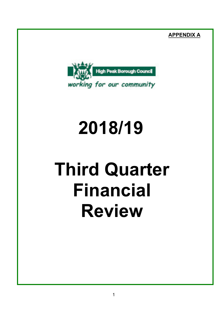**APPENDIX A**



# **2018/19**

# **Third Quarter Financial Review**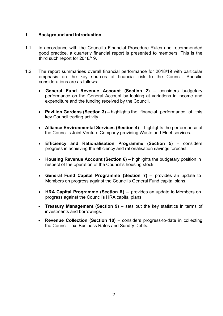### **1. Background and Introduction**

- 1.1. In accordance with the Council's Financial Procedure Rules and recommended good practice, a quarterly financial report is presented to members. This is the third such report for 2018/19.
- 1.2. The report summarises overall financial performance for 2018/19 with particular emphasis on the key sources of financial risk to the Council. Specific considerations are as follows:
	- **General Fund Revenue Account (Section 2)** considers budgetary performance on the General Account by looking at variations in income and expenditure and the funding received by the Council.
	- **Pavilion Gardens (Section 3) –** highlights the financial performance of this key Council trading activity.
	- **Alliance Environmental Services (Section 4) –** highlights the performance of the Council's Joint Venture Company providing Waste and Fleet services.
	- **Efficiency and Rationalisation Programme (Section 5)** considers progress in achieving the efficiency and rationalisation savings forecast.
	- **Housing Revenue Account (Section 6) –** highlights the budgetary position in respect of the operation of the Council's housing stock.
	- **General Fund Capital Programme (Section 7)** provides an update to Members on progress against the Council's General Fund capital plans.
	- **HRA Capital Programme (Section 8)** provides an update to Members on progress against the Council's HRA capital plans.
	- **Treasury Management (Section 9)** sets out the key statistics in terms of investments and borrowings.
	- **Revenue Collection (Section 10)** considers progress-to-date in collecting the Council Tax, Business Rates and Sundry Debts.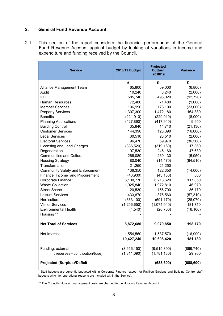# **2. General Fund Revenue Account**

2.1. This section of the report considers the financial performance of the General Fund Revenue Account against budget by looking at variations in income and expenditure and funding received by the Council.

| <b>Service</b>                          | 2018/19 Budget | <b>Projected</b><br><b>Outturn</b><br>2018/19 | <b>Variance</b> |
|-----------------------------------------|----------------|-----------------------------------------------|-----------------|
|                                         | £              | £                                             | £               |
| Alliance Management Team                | 65,800         | 59,000                                        | (6,800)         |
| Audit                                   | 10,240         | 8,240                                         | (2,000)         |
| <b>ICT</b>                              | 585,740        | 493,020                                       | (92, 720)       |
| <b>Human Resources</b>                  | 72,480         | 71,480                                        | (1,000)         |
| <b>Member Services</b>                  | 196,190        | 173,190                                       | (23,000)        |
| <b>Property Services</b>                | 1,307,300      | 1,472,180                                     | 164,880         |
| <b>Benefits</b>                         | (221, 910)     | (229, 910)                                    | (8,000)         |
| <b>Planning Applications</b>            | (427, 890)     | (417, 940)                                    | 9,950           |
| <b>Building Control</b>                 | 35,840         | 14,710                                        | (21, 130)       |
| <b>Customer Services</b>                | 144,390        | 128,390                                       | (16,000)        |
| <b>Legal Services</b>                   | 30,510         | 28,510                                        | (2,000)         |
| <b>Electoral Services</b>               | 96,470         | 59,970                                        | (36,500)        |
| Licensing and Land Charges              | (336, 520)     | (319, 160)                                    | 17,360          |
| Regeneration                            | 197,530        | 245,160                                       | 47,630          |
| <b>Communities and Cultural</b>         | 266,080        | 260,130                                       | (5,950)         |
| <b>Housing Strategy</b>                 | 80,040         | (14, 470)                                     | (94, 510)       |
| Transformation                          | 21,250         | 21,250                                        |                 |
| <b>Community Safety and Enforcement</b> | 136,350        | 122,350                                       | (14,000)        |
| Finance, Income and Procurement         | (43,930)       | (43, 130)                                     | 800             |
| Corporate Finance*                      | 6,100,770      | 6,218,620                                     | 117,850         |
| <b>Waste Collection</b>                 | 1,925,840      | 1,972,810                                     | 46,970          |
| <b>Street Scene</b>                     | 120,530        | 156,700                                       | 36,170          |
| Leisure Services                        | 433,870        | 376,560                                       | (57, 310)       |
| Horticulture                            | (663, 100)     | (691, 170)                                    | (28,070)        |
| <b>Visitor Services</b>                 | (1, 256, 650)  | (1,074,940)                                   | 181,710         |
| <b>Environmental Health</b>             | (4, 540)       | (20, 700)                                     | (16, 160)       |
| Housing **                              |                |                                               |                 |
| <b>Net Total of Services</b>            | 8,872,680      | 9,070,850                                     | 198,170         |
| Net Interest                            | 1,554,560      | 1,537,570                                     | (16,990)        |
|                                         | 10,427,240     | 10,608,420                                    | 181,180         |
| Funding: external                       | (8,616,150)    | (9,515,890)                                   | (899, 740)      |
| : reserves - contribution/(use)         | (1,811,090)    | (1,781,130)                                   | 29,960          |
| <b>Projected (Surplus)/Deficit</b>      |                | (688, 600)                                    | (688, 600)      |

\* Staff budgets are currently budgeted within Corporate Finance (except for Pavilion Gardens and Building Control staff budgets which for operational reasons are included within the Service).

\*\* The Council's Housing management costs are charged to the Housing Revenue Account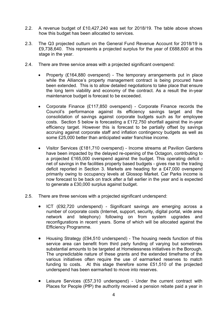- 2.2. A revenue budget of £10,427,240 was set for 2018/19. The table above shows how this budget has been allocated to services.
- 2.3. The Q3 projected outturn on the General Fund Revenue Account for 2018/19 is £9,738,640. This represents a projected surplus for the year of £688,600 at this stage in the year.
- 2.4. There are three service areas with a projected significant overspend:
	- Property (£164,880 overspend) The temporary arrangements put in place while the Alliance's property management contract is being procured have been extended. This is to allow detailed negotiations to take place that ensure the long term viability and economy of the contract. As a result the in-year maintenance budget is forecast to be exceeded.
	- Corporate Finance (£117,850 overspend) Corporate Finance records the Council's performance against its efficiency savings target and the consolidation of savings against corporate budgets such as for employee costs. Section 5 below is forecasting a £172,750 shortfall against the in-year efficiency target. However this is forecast to be partially offset by savings accruing against corporate staff and inflation contingency budgets as well as some £25,000 better than anticipated water franchise income.
	- Visitor Services (£181,710 overspend) Income streams at Pavilion Gardens have been impacted by the delayed re-opening of the Octagon, contributing to a projected £165,000 overspend against the budget. This operating deficit net of savings in the facilities property based budgets - gives rise to the trading deficit reported in Section 3. Markets are heading for a £47,000 overspend primarily owing to occupancy levels at Glossop Market. Car Parks income is now forecast to be back on track after a fall earlier in the year and is expected to generate a £30,000 surplus against budget.
- 2.5. There are three services with a projected significant underspend:
	- ICT (£92,720 underspend) Significant savings are emerging across a number of corporate costs (Internet, support, security, digital portal, wide area network and telephony) following on from system upgrades and reconfigurations in recent years. Some of which will be allocated against the Efficiency Programme.
	- Housing Strategy (£94,510 underspend) The housing needs function of this service area can benefit from third party funding of varying but sometimes substantial amounts to be targeted at Homelessness initiatives in the Borough. The unpredictable nature of these grants and the extended timeframe of the various initiatives often require the use of earmarked reserves to match funding to costs. At this stage therefore some £51,510 of the projected underspend has been earmarked to move into reserves.
	- Leisure Services (£57,310 underspend) Under the current contract with Places for People (PfP) the authority received a pension rebate paid a year in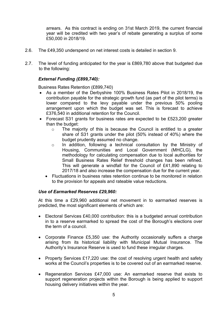arrears. As this contract is ending on 31st March 2019, the current financial year will be credited with two year's of rebate generating a surplus of some £50,000 in 2018/19.

- 2.6. The £49,350 underspend on net interest costs is detailed in section 9.
- 2.7. The level of funding anticipated for the year is £869,780 above that budgeted due to the following:

## *External Funding (£899,740):*

Business Rates Retention (£899,740)

- As a member of the Derbyshire 100% Business Rates Pilot in 2018/19, the contribution payable for the strategic growth fund (as part of the pilot terms) is lower compared to the levy payable under the previous 50% pooling arrangement upon which the budget was set. This is forecast to achieve £376,540 in additional retention for the Council.
- Forecast S31 grants for business rates are expected to be £523,200 greater than the budget:
	- o The majority of this is because the Council is entitled to a greater share of S31 grants under the pilot (50% instead of 40%) where the budget prudently assumed no change.
	- o In addition, following a technical consultation by the Ministry of Housing, Communities and Local Government (MHCLG), the methodology for calculating compensation due to local authorities for Small Business Rates Relief threshold changes has been refined. This will generate a windfall for the Council of £41,890 relating to 2017/18 and also increase the compensation due for the current year.
	- Fluctuations in business rates retention continue to be monitored in relation to the provision for appeals and rateable value reductions.

#### *Use of Earmarked Reserves £29,960:*

At this time a £29,960 additional net movement in to earmarked reserves is predicted, the most significant elements of which are:

- Electoral Services £40,000 contribution: this is a budgeted annual contribution in to a reserve earmarked to spread the cost of the Borough's elections over the term of a council.
- Corporate Finance £5,350 use: the Authority occasionally suffers a charge arising from its historical liability with Municipal Mutual Insurance. The Authority's Insurance Reserve is used to fund these irregular charges.
- Property Services £17,220 use: the cost of resolving urgent health and safety works at the Council's properties is to be covered out of an earmarked reserve.
- Regeneration Services £47,000 use: An earmarked reserve that exists to support regeneration projects within the Borough is being applied to support housing delivery initiatives within the year.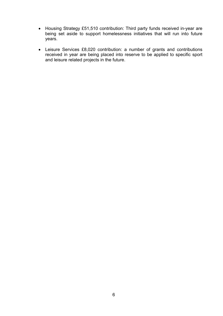- Housing Strategy £51,510 contribution: Third party funds received in-year are being set aside to support homelessness initiatives that will run into future years.
- Leisure Services £8,020 contribution: a number of grants and contributions received in year are being placed into reserve to be applied to specific sport and leisure related projects in the future.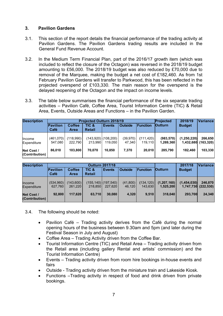# **3. Pavilion Gardens**

- 3.1. This section of the report details the financial performance of the trading activity at Pavilion Gardens. The Pavilion Gardens trading results are included in the General Fund Revenue Account.
- 3.2. In the Medium Term Financial Plan, part of the 2016/17 growth item (which was included to reflect the closure of the Octagon) was reversed in the 2018/19 budget amounting to £56,000. The 2018/19 budget was also reduced by £70,000 due to removal of the Marquee, making the budget a net cost of £182,460. As from 1st February Pavilion Gardens will transfer to Parkwood, this has been reflected in the projected overspend of £103,330. The main reason for the overspend is the delayed reopening of the Octagon and the impact on income levels.
- 3.3. The table below summarises the financial performance of the six separate trading activities – Pavilion Café, Coffee Area, Tourist Information Centre (TIC) & Retail Area, Events, Outside Areas and Functions – in the Pavilion Garden.

| <b>Description</b>           |                      |                              | <b>Projected Outturn 2018/19</b> | Projected                       | 2018/19             | <b>Variance</b>       |                         |                          |                       |
|------------------------------|----------------------|------------------------------|----------------------------------|---------------------------------|---------------------|-----------------------|-------------------------|--------------------------|-----------------------|
|                              | Pavilion<br>Café     | <b>Coffee</b><br><b>Area</b> | TIC &<br><b>Retail</b>           | <b>Events</b>                   | <b>Outside</b>      | Function              | <b>Outturn</b>          | <b>Budget</b>            |                       |
| <b>Income</b><br>Expenditure | (461,070)<br>547,080 | (118,990)<br>222.790         | 213.990                          | (143,920) (108,200) <br>119.050 | (39, 970)<br>47.340 | (111, 420)<br>119.110 | (983, 570)<br>1,269,360 | (1,250,220)<br>1,432,680 | 266,650<br>(163, 320) |
| Net Cost /<br>(Contribution) | 86,010               | 103.800                      | 70.070                           | 10.850                          | 7,370               | 20,010                | 285.790                 | 182.460                  | 103,330               |

| <b>Description</b><br><b>Outturn 2017/18</b> |                      |                       |                        |                                   |                    | 2017/18               | Variance                   |                          |                       |
|----------------------------------------------|----------------------|-----------------------|------------------------|-----------------------------------|--------------------|-----------------------|----------------------------|--------------------------|-----------------------|
|                                              | Pavilion<br>Café     | <b>Coffee</b><br>Area | TIC &<br><b>Retail</b> | <b>Events</b>                     | <b>Outside</b>     | <b>Function</b>       | <b>Outturn</b>             | <b>Budget</b>            |                       |
| Income<br>Expenditure                        | (534,960)<br>627,760 | (143,600)<br>261.220  | 218,850                | $(155, 140)$ (197,540)<br>227,620 | (41,800)<br>46.120 | (134, 120)<br>143.630 | (1, 207, 160)<br>1,525,200 | (1,454,030)<br>1,747,730 | 246,870<br>(222, 530) |
| <b>Net Cost /</b><br>(Contribution)          | 92.800               | 117.620               | 63.710                 | 30.080                            | 4.320              | 9.510                 | 318.040                    | 293.700                  | 24,340                |

3.4. The following should be noted:

- Pavilion Café Trading activity derives from the Café during the normal opening hours of the business between 9.30am and 5pm (and later during the Festival Season in July and August)
- Coffee Area Trading Activity driven from the Coffee Bar.
- Tourist Information Centre (TIC) and Retail Area Trading activity driven from the Retail area (including gallery Rental and artists' commission) and the Tourist Information Centre)
- Events Trading activity driven from room hire bookings in-house events and fairs
- Outside Trading activity driven from the miniature train and Lakeside Kiosk.
- Functions –Trading activity in respect of food and drink driven from private bookings.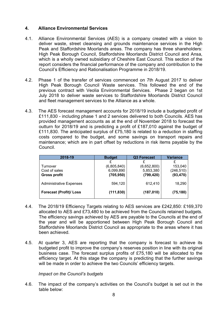### **4. Alliance Environmental Services**

- 4.1. Alliance Environmental Services (AES) is a company created with a vision to deliver waste, street cleansing and grounds maintenance services in the High Peak and Staffordshire Moorlands areas. The company has three shareholders: High Peak Borough Council, Staffordshire Moorlands District Council and Ansa, which is a wholly owned subsidiary of Cheshire East Council. This section of the report considers the financial performance of the company and contribution to the Council's Efficiency and Rationalisation Programme in 2018/19.
- 4.2. Phase 1 of the transfer of services commenced on 7th August 2017 to deliver High Peak Borough Council Waste services. This followed the end of the previous contract with Veolia Environmental Services. Phase 2 began on 1st July 2018 to deliver waste services to Staffordshire Moorlands District Council and fleet management services to the Alliance as a whole.
- 4.3. The AES forecast management accounts for 2018/19 include a budgeted profit of £111,830 - including phase 1 and 2 services delivered to both Councils. AES has provided management accounts as at the end of November 2018 to forecast the outturn for 2018/19 and is predicting a profit of £187,010 against the budget of £111,830. The anticipated surplus of £75,180 is related to a reduction in staffing costs compared to the budget, and some savings on transport repairs and maintenance; which are in part offset by reductions in risk items payable by the Council.

| 2018-19                        | <b>Budget</b> | Q3 Forecast | <b>Variance</b> |  |
|--------------------------------|---------------|-------------|-----------------|--|
|                                |               |             |                 |  |
| Turnover                       | (6,805,840)   | (6,652,800) | 153,040         |  |
| Cost of sales                  | 6,099,890     | 5,853,380   | (246,510)       |  |
| <b>Gross profit</b>            | (705, 950)    | (799, 420)  | (93, 470)       |  |
|                                |               |             |                 |  |
| <b>Administrative Expenses</b> | 594,120       | 612,410     | 18,290          |  |
|                                |               |             |                 |  |
| <b>Forecast (Profit)/ Loss</b> | (111, 830)    | (187, 010)  | (75, 180)       |  |
|                                |               |             |                 |  |

- 4.4. The 2018/19 Efficiency Targets relating to AES services are £242,850: £169,370 allocated to AES and £73,480 to be achieved from the Councils retained budgets. The efficiency savings achieved by AES are payable to the Councils at the end of the year and will be apportioned between High Peak Borough Council and Staffordshire Moorlands District Council as appropriate to the areas where it has been achieved.
- 4.5. At quarter 3, AES are reporting that the company is forecast to achieve its budgeted profit to improve the company's reserves position in line with its original business case. The forecast surplus profits of £75,180 will be allocated to the efficiency target. At this stage the company is predicting that the further savings will be made in order to achieve the two Councils' efficiency targets.

*Impact on the Council's budgets*

4.6. The impact of the company's activities on the Council's budget is set out in the table below: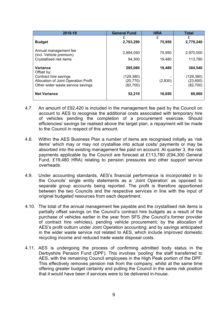| 2018-19                                                                                                                             | <b>General Fund</b>                           | <b>HRA</b>        | <b>Total</b>                                  |
|-------------------------------------------------------------------------------------------------------------------------------------|-----------------------------------------------|-------------------|-----------------------------------------------|
| <b>Budget</b>                                                                                                                       | £<br>2,703,290                                | £<br>75,950       | £<br>2,779,240                                |
| Annual management fee<br>(incl. Vehicle premium)<br>Crystallised risk items                                                         | 2,894,050<br>94,300                           | 75,950<br>19,480  | 2,970,000<br>113,780                          |
| <b>Variance</b><br>Offset by:<br>Contract hire savings<br>Allocation of Joint Operation Profit<br>Other wider waste service savings | 285,060<br>(129,380)<br>(20, 770)<br>(82,700) | 19,480<br>(2,830) | 304,540<br>(129, 380)<br>(23,600)<br>(82,700) |
| <b>Net Variance</b>                                                                                                                 | 52,210                                        | 16,650            | 68,860                                        |

- 4.7. An amount of £92,420 is included in the management fee paid by the Council on account to AES to recognise the additional costs associated with temporary hire of vehicles pending the completion of a procurement exercise. Should efficiencies/ savings be realised above the target plan, a repayment will be made to the Council in respect of this amount.
- 4.8. Within the AES Business Plan a number of items are recognised initially as 'risk items' which may or may not crystallise into actual costs/ payments or may be absorbed into the existing management fee paid on account. At quarter 3, the risk payments applicable by the Council are forecast at £113,780 (£94,300 General Fund, £19,480 HRA) relating to pension pressures and other support service overheads.
- 4.9. Under accounting standards, AES's financial performance is incorporated in to the Councils' single entity statements as a 'Joint Operation' as opposed to separate group accounts being reported. The profit is therefore apportioned between the two Councils and the respective services in line with the input of original budgeted resources from each department.
- 4.10. The total of the annual management fee payable and the crystallised risk items is partially offset savings on the Council's contract hire budgets as a result of the purchase of vehicles earlier in the year from SFS (the Council's former provider of contract hire vehicles), pending vehicle procurement; by the allocation of AES's profit outturn under Joint Operation accounting; and by savings anticipated in the wider waste service not related to AES, which include improved domestic recycling income and reduced trade waste disposal costs.
- 4.11. AES is undergoing the process of confirming admitted body status in the Derbyshire Pension Fund (DPF). This involves 'pooling' the staff transferred to AES, with the remaining Council employees in the High Peak portion of the DPF. This effectively removes pension risk from the company, whilst at the same time offering greater budget certainty and putting the Council in the same risk position that it would have been if services were to be delivered in-house.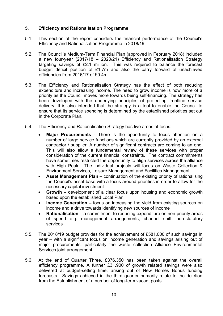### **5. Efficiency and Rationalisation Programme**

- 5.1. This section of the report considers the financial performance of the Council's Efficiency and Rationalisation Programme in 2018/19.
- 5.2. The Council's Medium-Term Financial Plan (approved in February 2018) included a new four-year (2017/18 – 2020/21) Efficiency and Rationalisation Strategy targeting savings of £2.1 million. This was required to balance the forecast budget deficit position of £1.7m and also the carry forward of unachieved efficiencies from 2016/17 of £0.4m.
- 5.3. The Efficiency and Rationalisation Strategy has the effect of both reducing expenditure and increasing income. The need to grow income is now more of a priority as the Council moves more towards being self-financing. The strategy has been developed with the underlying principles of protecting frontline service delivery. It is also intended that the strategy is a tool to enable the Council to ensure that its service spending is determined by the established priorities set out in the Corporate Plan.
- 5.4. The Efficiency and Rationalisation Strategy has five areas of focus:
	- **Major Procurements -** There is the opportunity to focus attention on a number of large service functions which are currently provided by an external contractor / supplier. A number of significant contracts are coming to an end. This will also allow a fundamental review of these services with proper consideration of the current financial constraints. The contract commitments have sometimes restricted the opportunity to align services across the alliance with High Peak. The individual projects will focus on Waste Collection & Environment Services, Leisure Management and Facilities Management
	- **Asset Management Plan –** continuation of the existing priority of rationalising the Council's asset base with a focus around priorities in order to allow for the necessary capital investment
	- **Growth –** development of a clear focus upon housing and economic growth based upon the established Local Plan.
	- **Income Generation –** focus on increasing the yield from existing sources on income and a drive towards identifying new sources of income
	- **Rationalisation –** a commitment to reducing expenditure on non-priority areas of spend e.g. management arrangements, channel shift, non-statutory services
- 5.5. The 2018/19 budget provides for the achievement of £581,000 of such savings in year – with a significant focus on income generation and savings arising out of major procurements, particularly the waste collection Alliance Environmental Services joint arrangement.
- 5.6. At the end of Quarter Three, £376,350 has been taken against the overall efficiency programme. A further £31,900 of growth related savings were also delivered at budget-setting time, arising out of New Homes Bonus funding forecasts. Savings achieved in the third quarter primarily relate to the deletion from the Establishment of a number of long-term vacant posts.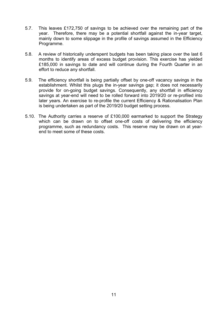- 5.7. This leaves £172,750 of savings to be achieved over the remaining part of the year. Therefore, there may be a potential shortfall against the in-year target, mainly down to some slippage in the profile of savings assumed in the Efficiency Programme.
- 5.8. A review of historically underspent budgets has been taking place over the last 6 months to identify areas of excess budget provision. This exercise has yielded £185,000 in savings to date and will continue during the Fourth Quarter in an effort to reduce any shortfall.
- 5.9. The efficiency shortfall is being partially offset by one-off vacancy savings in the establishment. Whilst this plugs the in-year savings gap; it does not necessarily provide for on-going budget savings. Consequently, any shortfall in efficiency savings at year-end will need to be rolled forward into 2019/20 or re-profiled into later years. An exercise to re-profile the current Efficiency & Rationalisation Plan is being undertaken as part of the 2019/20 budget setting process.
- 5.10. The Authority carries a reserve of £100,000 earmarked to support the Strategy which can be drawn on to offset one-off costs of delivering the efficiency programme, such as redundancy costs. This reserve may be drawn on at yearend to meet some of these costs.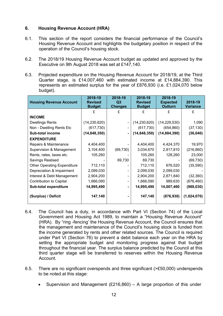# **6. Housing Revenue Account (HRA)**

- 6.1. This section of the report considers the financial performance of the Council's Housing Revenue Account and highlights the budgetary position in respect of the operation of the Council's housing stock.
- 6.2. The 2018/19 Housing Revenue Account budget as updated and approved by the Executive on 9th August 2018 was set at £147,140.
- 6.3. Projected expenditure on the Housing Revenue Account for 2018/19, at the Third Quarter stage, is £14,007,460 with estimated income at £14,884,390. This represents an estimated surplus for the year of £876,930 (i.e. £1,024,070 below budget).

| <b>Housing Revenue Account</b>     | 2018-19<br><b>Revised</b><br><b>Budget</b> | 2018-19<br>Q3<br><b>Changes</b> | 2018-19<br><b>Revised</b><br><b>Budget</b> | 2018-19<br><b>Expected</b><br><b>Outturn</b> | 2018-19<br><b>Variance</b> |
|------------------------------------|--------------------------------------------|---------------------------------|--------------------------------------------|----------------------------------------------|----------------------------|
|                                    |                                            | £                               |                                            | £                                            | £                          |
| <b>INCOME</b>                      |                                            |                                 |                                            |                                              |                            |
| <b>Dwellings Rents</b>             | (14, 230, 620)                             |                                 | (14, 230, 620)                             | (14, 229, 530)                               | 1,090                      |
| Non - Dwelling Rents Etc           | (617, 730)                                 |                                 | (617, 730)                                 | (654, 860)                                   | (37, 130)                  |
| <b>Sub-total income</b>            | (14, 848, 350)                             | $\overline{\phantom{0}}$        | (14, 848, 350)                             | (14, 884, 390)                               | (36, 040)                  |
| <b>EXPENDITURE</b>                 |                                            |                                 |                                            |                                              |                            |
| Repairs & Maintenance              | 4,404,400                                  |                                 | 4,404,400                                  | 4,424,370                                    | 19,970                     |
| Supervision & Management           | 3,104,400                                  | (69, 730)                       | 3,034,670                                  | 2,817,810                                    | (216, 860)                 |
| Rents, rates, taxes etc.           | 105,260                                    |                                 | 105,260                                    | 128,260                                      | 23,000                     |
| Savings Realised                   |                                            | 69,730                          | 69,730                                     |                                              | (69, 730)                  |
| <b>Other Operating Expenditure</b> | 712,110                                    |                                 | 712,110                                    | 676,520                                      | (35, 590)                  |
| Depreciation & Impairment          | 2,099,030                                  |                                 | 2,099,030                                  | 2,099,030                                    |                            |
| Interest & Debt Management         | 2,904,200                                  |                                 | 2,904,200                                  | 2,871,840                                    | (32, 360)                  |
| <b>Contribution to Capital</b>     | 1,666,090                                  |                                 | 1,666,090                                  | 989,630                                      | (676, 460)                 |
| Sub-total expenditure              | 14,995,490                                 | -                               | 14,995,490                                 | 14,007,460                                   | (988, 030)                 |
| (Surplus) / Deficit                | 147,140                                    |                                 | 147,140                                    | (876, 930)                                   | (1,024,070)                |

- 6.4. The Council has a duty, in accordance with Part VI (Section 74) of the Local Government and Housing Act 1989, to maintain a "Housing Revenue Account" (HRA). By "ring -fencing' the Housing Revenue Account, the Council ensures that the management and maintenance of the Council's housing stock is funded from the income generated by rents and other related sources. The Council is required under Part VI (Section 76) to prevent a debit balance each year on the HRA by setting the appropriate budget and monitoring progress against that budget throughout the financial year. The surplus balance predicted by the Council at this third quarter stage will be transferred to reserves within the Housing Revenue **Account**
- 6.5. There are no significant overspends and three significant (>£50,000) underspends to be noted at this stage:
	- Supervision and Management (£216,860) A large proportion of this under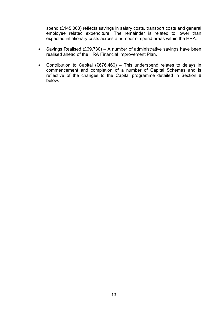spend (£145,000) reflects savings in salary costs, transport costs and general employee related expenditure. The remainder is related to lower than expected inflationary costs across a number of spend areas within the HRA.

- Savings Realised (£69,730) A number of administrative savings have been realised ahead of the HRA Financial Improvement Plan.
- Contribution to Capital (£676,460) This underspend relates to delays in commencement and completion of a number of Capital Schemes and is reflective of the changes to the Capital programme detailed in Section 8 below.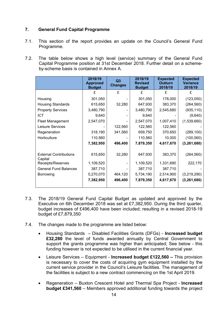# **7. General Fund Capital Programme**

- 7.1. This section of the report provides an update on the Council's General Fund Programme.
- 7.2. The table below shows a high level (service) summary of the General Fund Capital Programme position at 31st December 2018. Further detail on a schemeby-scheme basis is contained in Annex A.

|                                          | 2018/19<br><b>Approved</b><br><b>Budget</b> | Q <sub>3</sub><br><b>Changes</b> | 2018/19<br><b>Revised</b><br><b>Budget</b> | <b>Expected</b><br><b>Outturn</b><br>2018/19 | <b>Expected</b><br><b>Variance</b><br>2018/19 |
|------------------------------------------|---------------------------------------------|----------------------------------|--------------------------------------------|----------------------------------------------|-----------------------------------------------|
|                                          | £                                           | £                                | £                                          | £                                            | £                                             |
| Housing                                  | 301,050                                     |                                  | 301,050                                    | 178,000                                      | (123,050)                                     |
| <b>Housing Standards</b>                 | 615,650                                     | 32,280                           | 647,930                                    | 383,370                                      | (264, 560)                                    |
| <b>Property Services</b>                 | 3,480,790                                   |                                  | 3,480,790                                  | 2,545,680                                    | (935, 110)                                    |
| <b>ICT</b>                               | 9,640                                       |                                  | 9,640                                      |                                              | (9,640)                                       |
| <b>Fleet Management</b>                  | 2,547,070                                   |                                  | 2,547,070                                  | 1,007,410                                    | (1,539,660)                                   |
| Leisure Services                         |                                             | 122,560                          | 122,560                                    | 122,560                                      |                                               |
| Regeneration                             | 318,190                                     | 341,560                          | 659,750                                    | 370,650                                      | (289, 100)                                    |
| Horticulture                             | 110,560                                     |                                  | 110,560                                    | 10,000                                       | (100, 560)                                    |
|                                          | 7,382,950                                   | 496,400                          | 7,879,350                                  | 4,617,670                                    | (3, 261, 680)                                 |
|                                          |                                             |                                  |                                            |                                              |                                               |
| <b>External Contributions</b><br>Capital | 615,650                                     | 32,280                           | 647,930                                    | 383,370                                      | (264, 560)                                    |
| Receipts/Reserves                        | 1,109,520                                   |                                  | 1,109,520                                  | 1,331,690                                    | 222,170                                       |
| <b>General Fund Balances</b>             | 387,710                                     |                                  | 387,710                                    | 387,710                                      |                                               |
| Borrowing                                | 5,270,070                                   | 464,120                          | 5,734,190                                  | 2,514,900                                    | (3,219,290)                                   |
|                                          | 7,382,950                                   | 496,400                          | 7,879,350                                  | 4,617,670                                    | (3, 261, 680)                                 |

- 7.3. The 2018/19 General Fund Capital Budget as updated and approved by the Executive on 6th December 2018 was set at £7,382,950. During the third quarter, budget increases of £496,400 have been included; resulting in a revised 2018-19 budget of £7,879,350
- 7.4. The changes made to the programme are listed below:
	- Housing Standards Disabled Facilities Grants (DFGs) **Increased budget £32,280** the level of funds awarded annually by Central Government to support the grants programme was higher than anticipated; See below - this funding however is not expected to be utilised in the current financial year.
	- Leisure Services Equipment **Increased budget £122,560 –** This provision is necessary to cover the costs of acquiring gym equipment installed by the current service provider in the Council's Leisure facilities. The management of the facilities is subject to a new contract commencing on the 1st April 2019.
	- Regeneration Buxton Crescent Hotel and Thermal Spa Project **Increased budget £341,560** – Members approved additional funding towards the project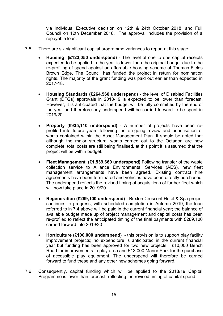via Individual Executive decision on 12th & 24th October 2018, and Full Council on 12th December 2018. The approval includes the provision of a repayable loan.

- 7.5 There are six significant capital programme variances to report at this stage:
	- **Housing (£123,050 underspend)** The level of one to one capital receipts expected to be applied in the year is lower than the original budget due to the re-profiling of spend against an affordable housing scheme at Thomas Fields Brown Edge. The Council has funded the project in return for nomination rights. The majority of the grant funding was paid out earlier than expected in 2017-18.
	- **Housing Standards (£264,560 underspend)** the level of Disabled Facilities Grant (DFGs) approvals in 2018-19 is expected to be lower than forecast. However, it is anticipated that the budget will be fully committed by the end of the year and therefore any underspend will be carried forward to be spent in 2019/20.
	- **Property (£935,110 underspend)** A number of projects have been reprofiled into future years following the on-going review and prioritisation of works contained within the Asset Management Plan. It should be noted that although the major structural works carried out to the Octagon are now complete; total costs are still being finalised, at this point it is assumed that the project will be within budget.
	- **Fleet Management (£1,539,660 underspend)** Following transfer of the waste collection service to Alliance Environmental Services (AES), new fleet management arrangements have been agreed. Existing contract hire agreements have been terminated and vehicles have been directly purchased. The underspend reflects the revised timing of acquisitions of further fleet which will now take place in 2019/20
	- **Regeneration (£289,100 underspend)** Buxton Crescent Hotel & Spa project continues to progress, with scheduled completion in Autumn 2019; the loan referred to in 7.4 above will be paid in the current financial year; the balance of available budget made up of project management and capital costs has been re-profiled to reflect the anticipated timing of the final payments with £289,100 carried forward into 2019/20
	- **Horticulture (£100,000 underspend)** this provision is to support play facility improvement projects; no expenditure is anticipated in the current financial year but funding has been approved for two new projects; £10,000 Bench Road for improvements to play area and £13,000 Manor Park for the purchase of accessible play equipment. The underspend will therefore be carried forward to fund these and any other new schemes going forward.
- 7.6. Consequently, capital funding which will be applied to the 2018/19 Capital Programme is lower than forecast, reflecting the revised timing of capital spend.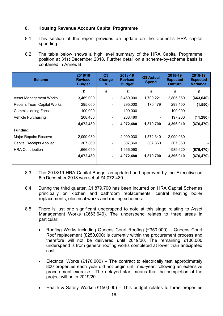# **8. Housing Revenue Account Capital Programme**

- 8.1. This section of the report provides an update on the Council's HRA capital spending.
- 8.2. The table below shows a high level summary of the HRA Capital Programme position at 31st December 2018. Further detail on a scheme-by-scheme basis is contained in Annex B.

| <b>Scheme</b>                     | 2018/19<br><b>Revised</b><br><b>Budget</b> | Q3<br>Change<br>s | 2018-19<br><b>Revised</b><br><b>Budget</b> | Q3 Actual<br><b>Spend</b> | 2018-19<br><b>Expected</b><br><b>Outturn</b> | 2018-19<br><b>Expected</b><br><b>Variance</b> |
|-----------------------------------|--------------------------------------------|-------------------|--------------------------------------------|---------------------------|----------------------------------------------|-----------------------------------------------|
|                                   | £                                          | £                 | £                                          | £                         | £                                            | £                                             |
| <b>Asset Management Works</b>     | 3,469,000                                  |                   | 3,469,000                                  | 1,709,221                 | 2,805,360                                    | (663, 640)                                    |
| <b>Repairs Team Capital Works</b> | 295,000                                    |                   | 295,000                                    | 170,479                   | 293,450                                      | (1, 550)                                      |
| <b>Commissioning Fees</b>         | 100,000                                    |                   | 100,000                                    |                           | 100,000                                      |                                               |
| Vehicle Purchasing                | 208,480                                    |                   | 208,480                                    |                           | 197,200                                      | (11, 280)                                     |
|                                   | 4,072,480                                  | ۰.                | 4,072,480                                  | 1,879,700                 | 3,396,010                                    | (676, 470)                                    |
| <b>Funding:</b>                   |                                            |                   |                                            |                           |                                              |                                               |
| Major Repairs Reserve             | 2,099,030                                  |                   | 2,099,030                                  | 1,572,340                 | 2,099,030                                    |                                               |
| <b>Capital Receipts Applied</b>   | 307,360                                    |                   | 307,360                                    | 307,360                   | 307,360                                      |                                               |
| <b>HRA Contribution</b>           | 1,666,090                                  |                   | 1,666,090                                  |                           | 989,620                                      | (676, 470)                                    |
|                                   | 4,072,480                                  | ۰.                | 4,072,480                                  | 1,879,700                 | 3,396,010                                    | (676, 470)                                    |

- 8.3. The 2018/19 HRA Capital Budget as updated and approved by the Executive on 6th December 2018 was set at £4,072,480.
- 8.4. During the third quarter, £1,879,700 has been incurred on HRA Capital Schemes principally on kitchen and bathroom replacements, central heating boiler replacements, electrical works and roofing schemes.
- 8.5. There is just one significant underspend to note at this stage relating to Asset Management Works (£663,640). The underspend relates to three areas in particular:
	- Roofing Works including Queens Court Roofing (£350,000) Queens Court Roof replacement (£250,000) is currently within the procurement process and therefore will not be delivered until 2019/20. The remaining £100,000 underspend is from general roofing works completed at lower than anticipated cost.
	- Electrical Works  $(E170.000)$  The contract to electrically test approximately 800 properties each year did not begin until mid-year, following an extensive procurement exercise. The delayed start means that the completion of the project will be in 2019/20.
	- Health & Safety Works (£150,000) This budget relates to three properties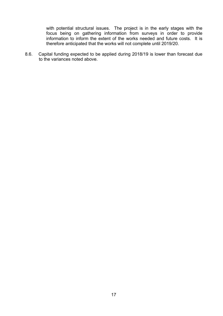with potential structural issues. The project is in the early stages with the focus being on gathering information from surveys in order to provide information to inform the extent of the works needed and future costs. It is therefore anticipated that the works will not complete until 2019/20.

8.6. Capital funding expected to be applied during 2018/19 is lower than forecast due to the variances noted above.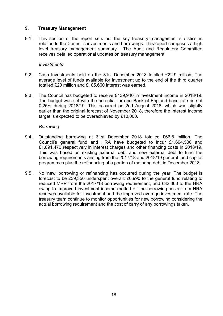#### **9. Treasury Management**

9.1. This section of the report sets out the key treasury management statistics in relation to the Council's investments and borrowings. This report comprises a high level treasury management summary. The Audit and Regulatory Committee receives detailed operational updates on treasury management.

#### *Investments*

- 9.2. Cash Investments held on the 31st December 2018 totalled £22.9 million. The average level of funds available for investment up to the end of the third quarter totalled £20 million and £105,660 interest was earned.
- 9.3. The Council has budgeted to receive £139,940 in investment income in 2018/19. The budget was set with the potential for one Bank of England base rate rise of 0.25% during 2018/19. This occurred on 2nd August 2018, which was slightly earlier than the original forecast of November 2018, therefore the interest income target is expected to be overachieved by £10,000.

#### *Borrowing*

- 9.4. Outstanding borrowing at 31st December 2018 totalled £66.8 million. The Council's general fund and HRA have budgeted to incur £1,694,500 and £1,891,470 respectively in interest charges and other financing costs in 2018/19. This was based on existing external debt and new external debt to fund the borrowing requirements arising from the 2017/18 and 2018/19 general fund capital programmes plus the refinancing of a portion of maturing debt in December 2018.
- 9.5. No 'new' borrowing or refinancing has occurred during the year. The budget is forecast to be £39,350 underspent overall: £6,990 to the general fund relating to reduced MRP from the 2017/18 borrowing requirement; and £32,360 to the HRA owing to improved investment income (netted off the borrowing costs) from HRA reserves available for investment and the improved average investment rate. The treasury team continue to monitor opportunities for new borrowing considering the actual borrowing requirement and the cost of carry of any borrowings taken.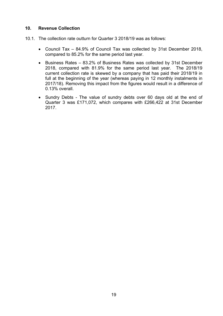#### **10. Revenue Collection**

- 10.1. The collection rate outturn for Quarter 3 2018/19 was as follows:
	- Council Tax 84.9% of Council Tax was collected by 31st December 2018, compared to 85.2% for the same period last year.
	- Business Rates 83.2% of Business Rates was collected by 31st December 2018, compared with 81.9% for the same period last year. The 2018/19 current collection rate is skewed by a company that has paid their 2018/19 in full at the beginning of the year (whereas paying in 12 monthly instalments in 2017/18). Removing this impact from the figures would result in a difference of 0.13% overall.
	- Sundry Debts The value of sundry debts over 60 days old at the end of Quarter 3 was £171,072, which compares with £266,422 at 31st December 2017.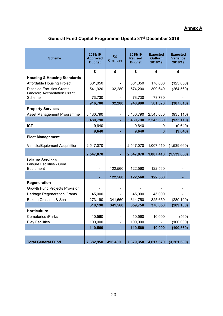# **Annex A**

# **General Fund Capital Programme Update 31st December 2018**

| <b>Scheme</b>                                                    | 2018/19<br><b>Approved</b><br><b>Budget</b> | Q3<br><b>Changes</b> | 2018/19<br><b>Revised</b><br><b>Budget</b> | <b>Expected</b><br><b>Outturn</b><br>2018/19 | <b>Expected</b><br><b>Variance</b><br>2018/19 |
|------------------------------------------------------------------|---------------------------------------------|----------------------|--------------------------------------------|----------------------------------------------|-----------------------------------------------|
|                                                                  | £                                           | £                    | £                                          | £                                            | £                                             |
| <b>Housing &amp; Housing Standards</b>                           |                                             |                      |                                            |                                              |                                               |
| Affordable Housing Project                                       | 301,050                                     |                      | 301,050                                    | 178,000                                      | (123,050)                                     |
| <b>Disabled Facilities Grants</b>                                | 541,920                                     | 32,280               | 574,200                                    | 309,640                                      | (264, 560)                                    |
| <b>Landlord Accreditation Grant</b><br>Scheme                    | 73,730                                      |                      | 73,730                                     | 73,730                                       |                                               |
|                                                                  | 916,700                                     | 32,280               | 948,980                                    | 561,370                                      | (387, 610)                                    |
| <b>Property Services</b>                                         |                                             |                      |                                            |                                              |                                               |
| Asset Management Programme                                       | 3,480,790                                   |                      | 3,480,790                                  | 2,545,680                                    | (935, 110)                                    |
|                                                                  | 3,480,790                                   |                      | 3,480,790                                  | 2,545,680                                    | (935, 110)                                    |
| <b>ICT</b>                                                       | 9,640                                       |                      | 9,640                                      | 0                                            | (9,640)                                       |
|                                                                  | 9,640                                       |                      | 9,640                                      | $\bf{0}$                                     | (9,640)                                       |
| <b>Fleet Management</b>                                          |                                             |                      |                                            |                                              |                                               |
| Vehicle/Equipment Acquisition                                    | 2,547,070                                   |                      | 2,547,070                                  | 1,007,410                                    | (1,539,660)                                   |
|                                                                  | 2,547,070                                   |                      | 2,547,070                                  | 1,007,410                                    | (1,539,660)                                   |
| <b>Leisure Services</b><br>Leisure Facilities - Gym<br>Equipment |                                             | 122,560              | 122,560                                    | 122,560                                      |                                               |
|                                                                  |                                             | 122,560              | 122,560                                    | 122,560                                      |                                               |
| Regeneration                                                     |                                             |                      |                                            |                                              |                                               |
| Growth Fund Projects Provision                                   |                                             |                      |                                            |                                              |                                               |
| <b>Heritage Regeneration Grants</b>                              | 45,000                                      |                      | 45,000                                     | 45,000                                       |                                               |
| <b>Buxton Crescent &amp; Spa</b>                                 | 273,190                                     | 341,560              | 614,750                                    | 325,650                                      | (289, 100)                                    |
|                                                                  | 318,190                                     | 341,560              | 659,750                                    | 370,650                                      | (289, 100)                                    |
| <b>Horticulture</b>                                              |                                             |                      |                                            |                                              |                                               |
| Cemeteries /Parks                                                | 10,560                                      |                      | 10,560                                     | 10,000                                       | (560)                                         |
| <b>Play Facilities</b>                                           | 100,000                                     |                      | 100,000                                    |                                              | (100,000)                                     |
|                                                                  | 110,560                                     | ٠                    | 110,560                                    | 10,000                                       | (100, 560)                                    |
|                                                                  |                                             |                      |                                            |                                              |                                               |
| <b>Total General Fund</b>                                        | 7,382,950                                   | 496,400              | 7,879,350                                  | 4,617,670                                    | (3, 261, 680)                                 |